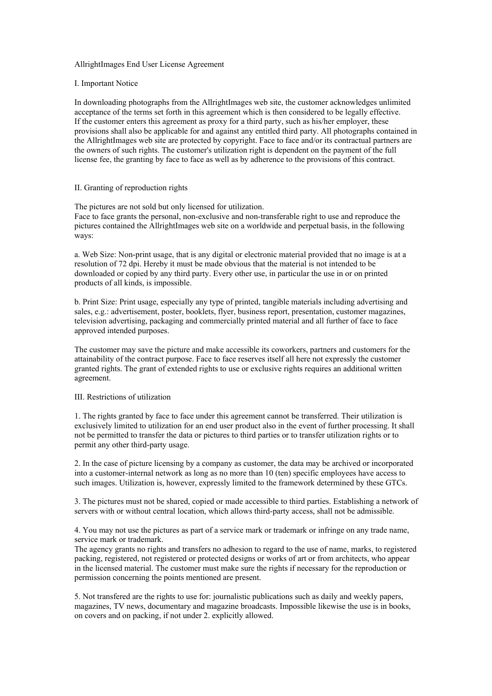# AllrightImages End User License Agreement

# I. Important Notice

In downloading photographs from the AllrightImages web site, the customer acknowledges unlimited acceptance of the terms set forth in this agreement which is then considered to be legally effective. If the customer enters this agreement as proxy for a third party, such as his/her employer, these provisions shall also be applicable for and against any entitled third party. All photographs contained in the AllrightImages web site are protected by copyright. Face to face and/or its contractual partners are the owners of such rights. The customer's utilization right is dependent on the payment of the full license fee, the granting by face to face as well as by adherence to the provisions of this contract.

# II. Granting of reproduction rights

The pictures are not sold but only licensed for utilization. Face to face grants the personal, non-exclusive and non-transferable right to use and reproduce the pictures contained the AllrightImages web site on a worldwide and perpetual basis, in the following ways:

a. Web Size: Non-print usage, that is any digital or electronic material provided that no image is at a resolution of 72 dpi. Hereby it must be made obvious that the material is not intended to be downloaded or copied by any third party. Every other use, in particular the use in or on printed products of all kinds, is impossible.

b. Print Size: Print usage, especially any type of printed, tangible materials including advertising and sales, e.g.: advertisement, poster, booklets, flyer, business report, presentation, customer magazines, television advertising, packaging and commercially printed material and all further of face to face approved intended purposes.

The customer may save the picture and make accessible its coworkers, partners and customers for the attainability of the contract purpose. Face to face reserves itself all here not expressly the customer granted rights. The grant of extended rights to use or exclusive rights requires an additional written agreement.

## III. Restrictions of utilization

1. The rights granted by face to face under this agreement cannot be transferred. Their utilization is exclusively limited to utilization for an end user product also in the event of further processing. It shall not be permitted to transfer the data or pictures to third parties or to transfer utilization rights or to permit any other third-party usage.

2. In the case of picture licensing by a company as customer, the data may be archived or incorporated into a customer-internal network as long as no more than 10 (ten) specific employees have access to such images. Utilization is, however, expressly limited to the framework determined by these GTCs.

3. The pictures must not be shared, copied or made accessible to third parties. Establishing a network of servers with or without central location, which allows third-party access, shall not be admissible.

4. You may not use the pictures as part of a service mark or trademark or infringe on any trade name, service mark or trademark.

The agency grants no rights and transfers no adhesion to regard to the use of name, marks, to registered packing, registered, not registered or protected designs or works of art or from architects, who appear in the licensed material. The customer must make sure the rights if necessary for the reproduction or permission concerning the points mentioned are present.

5. Not transfered are the rights to use for: journalistic publications such as daily and weekly papers, magazines, TV news, documentary and magazine broadcasts. Impossible likewise the use is in books, on covers and on packing, if not under 2. explicitly allowed.